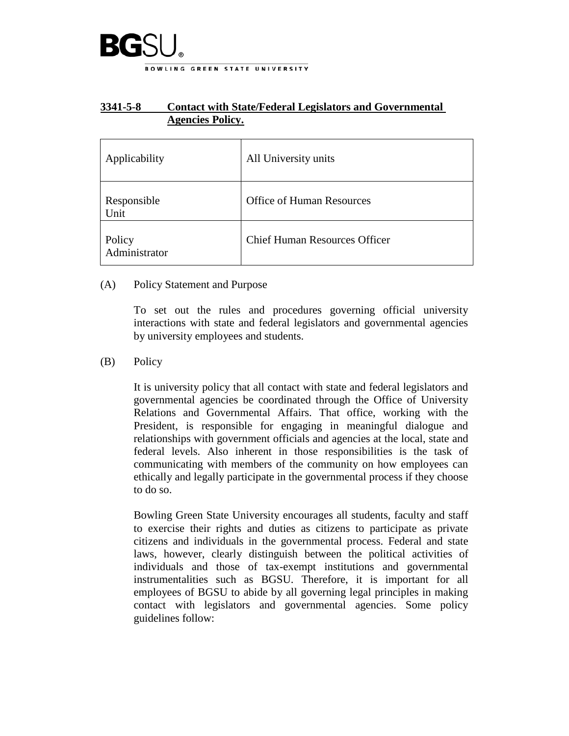

## **3341-5-8 Contact with State/Federal Legislators and Governmental Agencies Policy.**

| Applicability           | All University units                 |
|-------------------------|--------------------------------------|
| Responsible<br>Unit     | <b>Office of Human Resources</b>     |
| Policy<br>Administrator | <b>Chief Human Resources Officer</b> |

## (A) Policy Statement and Purpose

To set out the rules and procedures governing official university interactions with state and federal legislators and governmental agencies by university employees and students.

## (B) Policy

It is university policy that all contact with state and federal legislators and governmental agencies be coordinated through the Office of University Relations and Governmental Affairs. That office, working with the President, is responsible for engaging in meaningful dialogue and relationships with government officials and agencies at the local, state and federal levels. Also inherent in those responsibilities is the task of communicating with members of the community on how employees can ethically and legally participate in the governmental process if they choose to do so.

Bowling Green State University encourages all students, faculty and staff to exercise their rights and duties as citizens to participate as private citizens and individuals in the governmental process. Federal and state laws, however, clearly distinguish between the political activities of individuals and those of tax-exempt institutions and governmental instrumentalities such as BGSU. Therefore, it is important for all employees of BGSU to abide by all governing legal principles in making contact with legislators and governmental agencies. Some policy guidelines follow: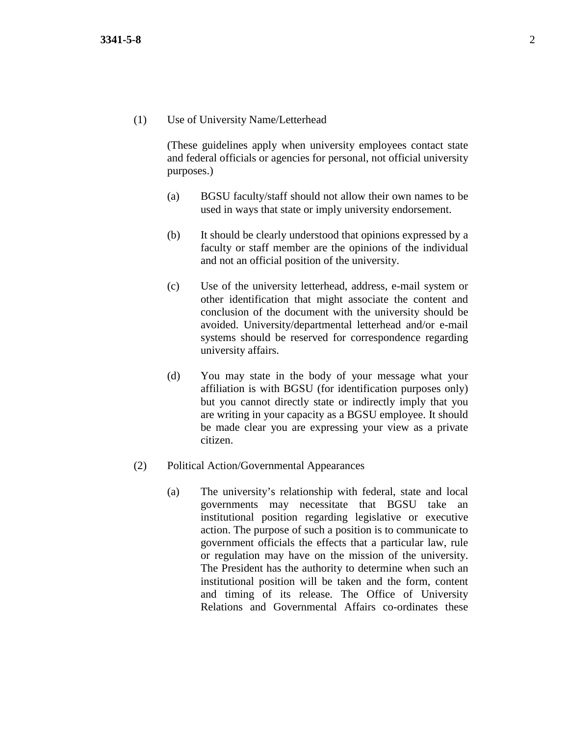(1) Use of University Name/Letterhead

(These guidelines apply when university employees contact state and federal officials or agencies for personal, not official university purposes.)

- (a) BGSU faculty/staff should not allow their own names to be used in ways that state or imply university endorsement.
- (b) It should be clearly understood that opinions expressed by a faculty or staff member are the opinions of the individual and not an official position of the university.
- (c) Use of the university letterhead, address, e-mail system or other identification that might associate the content and conclusion of the document with the university should be avoided. University/departmental letterhead and/or e-mail systems should be reserved for correspondence regarding university affairs.
- (d) You may state in the body of your message what your affiliation is with BGSU (for identification purposes only) but you cannot directly state or indirectly imply that you are writing in your capacity as a BGSU employee. It should be made clear you are expressing your view as a private citizen.
- (2) Political Action/Governmental Appearances
	- (a) The university's relationship with federal, state and local governments may necessitate that BGSU take an institutional position regarding legislative or executive action. The purpose of such a position is to communicate to government officials the effects that a particular law, rule or regulation may have on the mission of the university. The President has the authority to determine when such an institutional position will be taken and the form, content and timing of its release. The Office of University Relations and Governmental Affairs co-ordinates these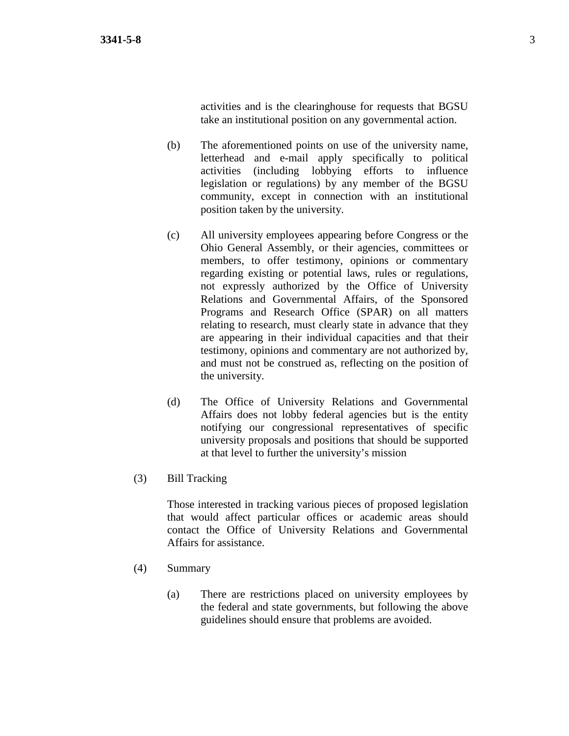activities and is the clearinghouse for requests that BGSU take an institutional position on any governmental action.

- (b) The aforementioned points on use of the university name, letterhead and e-mail apply specifically to political activities (including lobbying efforts to influence legislation or regulations) by any member of the BGSU community, except in connection with an institutional position taken by the university.
- (c) All university employees appearing before Congress or the Ohio General Assembly, or their agencies, committees or members, to offer testimony, opinions or commentary regarding existing or potential laws, rules or regulations, not expressly authorized by the Office of University Relations and Governmental Affairs, of the Sponsored Programs and Research Office (SPAR) on all matters relating to research, must clearly state in advance that they are appearing in their individual capacities and that their testimony, opinions and commentary are not authorized by, and must not be construed as, reflecting on the position of the university.
- (d) The Office of University Relations and Governmental Affairs does not lobby federal agencies but is the entity notifying our congressional representatives of specific university proposals and positions that should be supported at that level to further the university's mission
- (3) Bill Tracking

Those interested in tracking various pieces of proposed legislation that would affect particular offices or academic areas should contact the Office of University Relations and Governmental Affairs for assistance.

- (4) Summary
	- (a) There are restrictions placed on university employees by the federal and state governments, but following the above guidelines should ensure that problems are avoided.